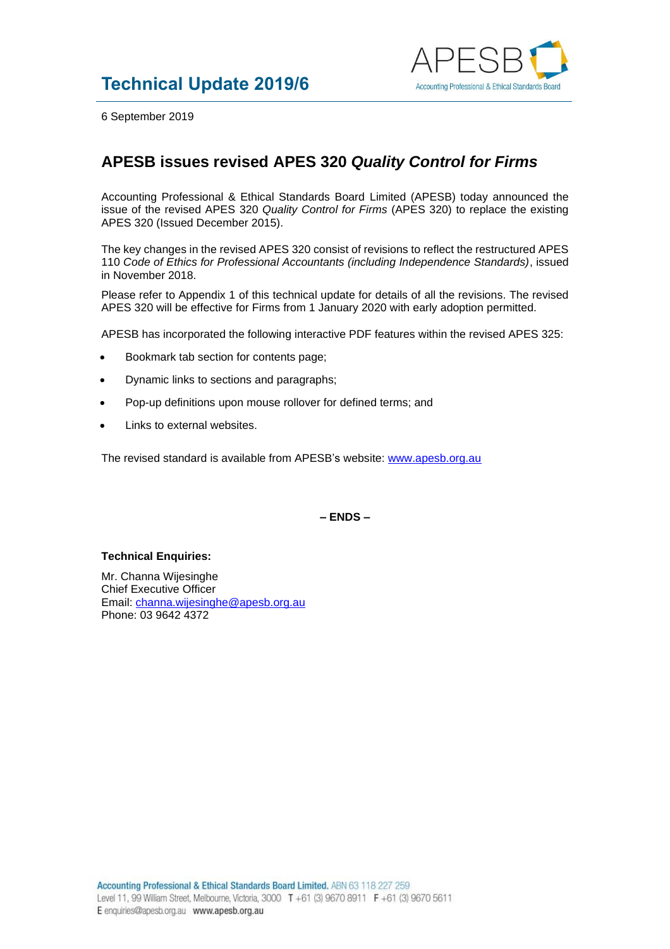

6 September 2019

## **APESB issues revised APES 320** *Quality Control for Firms*

Accounting Professional & Ethical Standards Board Limited (APESB) today announced the issue of the revised APES 320 *Quality Control for Firms* (APES 320) to replace the existing APES 320 (Issued December 2015).

The key changes in the revised APES 320 consist of revisions to reflect the restructured APES 110 *Code of Ethics for Professional Accountants (including Independence Standards)*, issued in November 2018.

Please refer to Appendix 1 of this technical update for details of all the revisions. The revised APES 320 will be effective for Firms from 1 January 2020 with early adoption permitted.

APESB has incorporated the following interactive PDF features within the revised APES 325:

- Bookmark tab section for contents page;
- Dynamic links to sections and paragraphs;
- Pop-up definitions upon mouse rollover for defined terms; and
- Links to external websites.

The revised standard is available from APESB's website: [www.apesb.org.au](http://www.apesb.org.au/)

**– ENDS –**

## **Technical Enquiries:**

Mr. Channa Wijesinghe Chief Executive Officer Email: [channa.wijesinghe@apesb.org.au](mailto:channa.wijesinghe@apesb.org.au) Phone: 03 9642 4372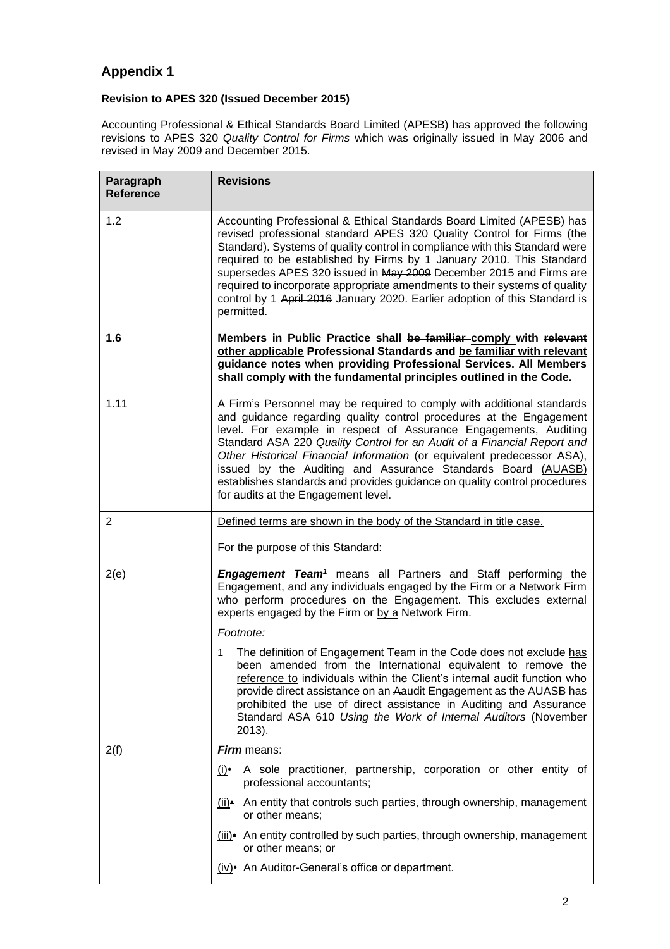## **Appendix 1**

## **Revision to APES 320 (Issued December 2015)**

Accounting Professional & Ethical Standards Board Limited (APESB) has approved the following revisions to APES 320 *Quality Control for Firms* which was originally issued in May 2006 and revised in May 2009 and December 2015.

| Paragraph<br><b>Reference</b> | <b>Revisions</b>                                                                                                                                                                                                                                                                                                                                                                                                                                                                                                                                            |
|-------------------------------|-------------------------------------------------------------------------------------------------------------------------------------------------------------------------------------------------------------------------------------------------------------------------------------------------------------------------------------------------------------------------------------------------------------------------------------------------------------------------------------------------------------------------------------------------------------|
| 1.2                           | Accounting Professional & Ethical Standards Board Limited (APESB) has<br>revised professional standard APES 320 Quality Control for Firms (the<br>Standard). Systems of quality control in compliance with this Standard were<br>required to be established by Firms by 1 January 2010. This Standard<br>supersedes APES 320 issued in May 2009 December 2015 and Firms are<br>required to incorporate appropriate amendments to their systems of quality<br>control by 1 April 2016 January 2020. Earlier adoption of this Standard is<br>permitted.       |
| 1.6                           | Members in Public Practice shall be familiar comply with relevant<br>other applicable Professional Standards and be familiar with relevant<br>guidance notes when providing Professional Services. All Members<br>shall comply with the fundamental principles outlined in the Code.                                                                                                                                                                                                                                                                        |
| 1.11                          | A Firm's Personnel may be required to comply with additional standards<br>and guidance regarding quality control procedures at the Engagement<br>level. For example in respect of Assurance Engagements, Auditing<br>Standard ASA 220 Quality Control for an Audit of a Financial Report and<br>Other Historical Financial Information (or equivalent predecessor ASA),<br>issued by the Auditing and Assurance Standards Board (AUASB)<br>establishes standards and provides guidance on quality control procedures<br>for audits at the Engagement level. |
| $\overline{2}$                | Defined terms are shown in the body of the Standard in title case.                                                                                                                                                                                                                                                                                                                                                                                                                                                                                          |
|                               | For the purpose of this Standard:                                                                                                                                                                                                                                                                                                                                                                                                                                                                                                                           |
| 2(e)                          | <b>Engagement Team<sup>1</sup></b> means all Partners and Staff performing the<br>Engagement, and any individuals engaged by the Firm or a Network Firm<br>who perform procedures on the Engagement. This excludes external<br>experts engaged by the Firm or by a Network Firm.                                                                                                                                                                                                                                                                            |
|                               | Footnote:                                                                                                                                                                                                                                                                                                                                                                                                                                                                                                                                                   |
|                               | The definition of Engagement Team in the Code does not exclude has<br>1<br>been amended from the International equivalent to remove the<br>reference to individuals within the Client's internal audit function who<br>provide direct assistance on an Aaudit Engagement as the AUASB has<br>prohibited the use of direct assistance in Auditing and Assurance<br>Standard ASA 610 Using the Work of Internal Auditors (November<br>2013).                                                                                                                  |
| 2(f)                          | <b>Firm</b> means:                                                                                                                                                                                                                                                                                                                                                                                                                                                                                                                                          |
|                               | A sole practitioner, partnership, corporation or other entity of<br>$(i)$ .<br>professional accountants;                                                                                                                                                                                                                                                                                                                                                                                                                                                    |
|                               | $(i)$ An entity that controls such parties, through ownership, management<br>or other means;                                                                                                                                                                                                                                                                                                                                                                                                                                                                |
|                               | (iii)• An entity controlled by such parties, through ownership, management<br>or other means; or                                                                                                                                                                                                                                                                                                                                                                                                                                                            |
|                               | (iv)• An Auditor-General's office or department.                                                                                                                                                                                                                                                                                                                                                                                                                                                                                                            |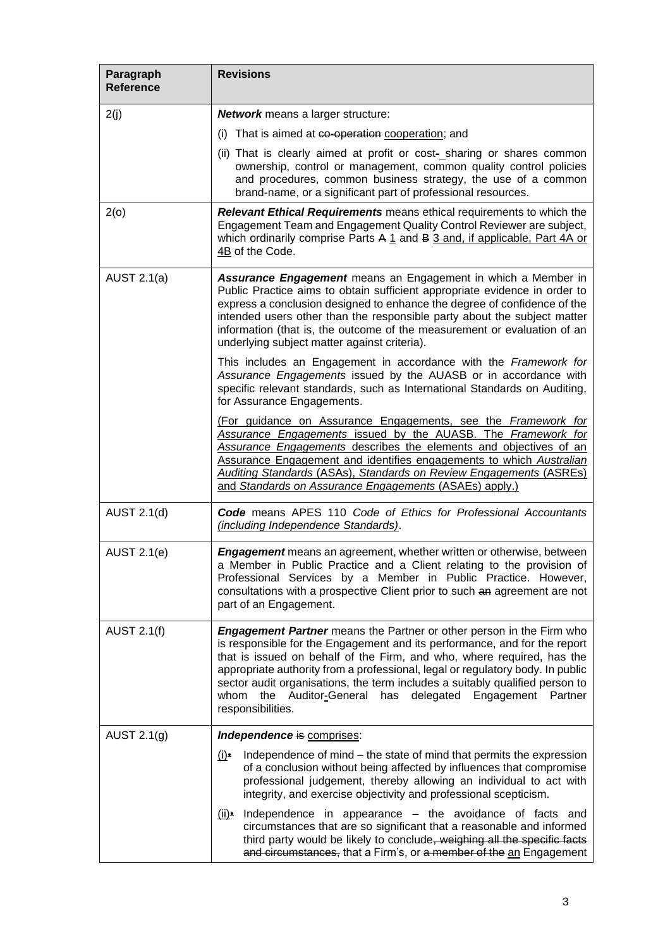| Paragraph<br><b>Reference</b> | <b>Revisions</b>                                                                                                                                                                                                                                                                                                                                                                                                                                                                       |
|-------------------------------|----------------------------------------------------------------------------------------------------------------------------------------------------------------------------------------------------------------------------------------------------------------------------------------------------------------------------------------------------------------------------------------------------------------------------------------------------------------------------------------|
| 2(j)                          | <b>Network</b> means a larger structure:                                                                                                                                                                                                                                                                                                                                                                                                                                               |
|                               | That is aimed at co-operation cooperation; and<br>(i)                                                                                                                                                                                                                                                                                                                                                                                                                                  |
|                               | (ii) That is clearly aimed at profit or cost-sharing or shares common<br>ownership, control or management, common quality control policies<br>and procedures, common business strategy, the use of a common<br>brand-name, or a significant part of professional resources.                                                                                                                                                                                                            |
| 2(0)                          | Relevant Ethical Requirements means ethical requirements to which the<br>Engagement Team and Engagement Quality Control Reviewer are subject,<br>which ordinarily comprise Parts A 1 and B 3 and, if applicable, Part 4A or<br>4B of the Code.                                                                                                                                                                                                                                         |
| AUST $2.1(a)$                 | Assurance Engagement means an Engagement in which a Member in<br>Public Practice aims to obtain sufficient appropriate evidence in order to<br>express a conclusion designed to enhance the degree of confidence of the<br>intended users other than the responsible party about the subject matter<br>information (that is, the outcome of the measurement or evaluation of an<br>underlying subject matter against criteria).                                                        |
|                               | This includes an Engagement in accordance with the Framework for<br>Assurance Engagements issued by the AUASB or in accordance with<br>specific relevant standards, such as International Standards on Auditing,<br>for Assurance Engagements.                                                                                                                                                                                                                                         |
|                               | (For guidance on Assurance Engagements, see the Framework for<br>Assurance Engagements issued by the AUASB. The Framework for<br>Assurance Engagements describes the elements and objectives of an<br>Assurance Engagement and identifies engagements to which Australian<br><b>Auditing Standards (ASAs), Standards on Review Engagements (ASREs)</b><br>and Standards on Assurance Engagements (ASAEs) apply.)                                                                       |
| AUST 2.1(d)                   | <b>Code</b> means APES 110 Code of Ethics for Professional Accountants<br>(including Independence Standards).                                                                                                                                                                                                                                                                                                                                                                          |
| <b>AUST 2.1(e)</b>            | <b>Engagement</b> means an agreement, whether written or otherwise, between<br>a Member in Public Practice and a Client relating to the provision of<br>Professional Services by a Member in Public Practice. However,<br>consultations with a prospective Client prior to such an agreement are not<br>part of an Engagement.                                                                                                                                                         |
| <b>AUST 2.1(f)</b>            | <b>Engagement Partner</b> means the Partner or other person in the Firm who<br>is responsible for the Engagement and its performance, and for the report<br>that is issued on behalf of the Firm, and who, where required, has the<br>appropriate authority from a professional, legal or regulatory body. In public<br>sector audit organisations, the term includes a suitably qualified person to<br>whom the Auditor-General has delegated Engagement Partner<br>responsibilities. |
| AUST $2.1(g)$                 | Independence is comprises:                                                                                                                                                                                                                                                                                                                                                                                                                                                             |
|                               | Independence of mind – the state of mind that permits the expression<br>$(i)$ .<br>of a conclusion without being affected by influences that compromise<br>professional judgement, thereby allowing an individual to act with<br>integrity, and exercise objectivity and professional scepticism.                                                                                                                                                                                      |
|                               | $(ii)$ Independence in appearance – the avoidance of facts and<br>circumstances that are so significant that a reasonable and informed<br>third party would be likely to conclude, weighing all the specific facts<br>and circumstances, that a Firm's, or a member of the an Engagement                                                                                                                                                                                               |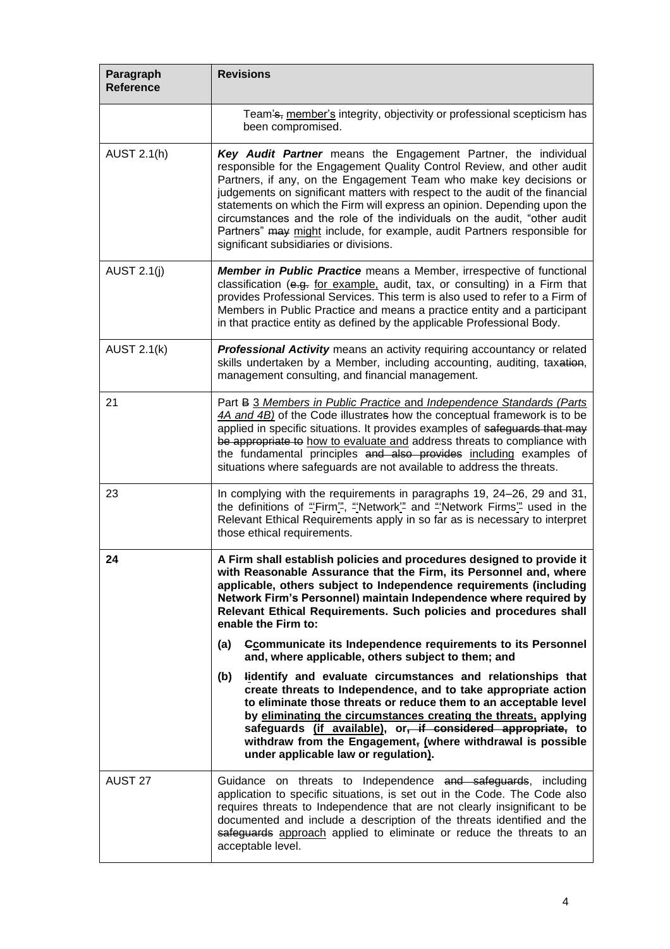| Paragraph<br><b>Reference</b> | <b>Revisions</b>                                                                                                                                                                                                                                                                                                                                                                                                                                                                                                                                                             |
|-------------------------------|------------------------------------------------------------------------------------------------------------------------------------------------------------------------------------------------------------------------------------------------------------------------------------------------------------------------------------------------------------------------------------------------------------------------------------------------------------------------------------------------------------------------------------------------------------------------------|
|                               | Team's, member's integrity, objectivity or professional scepticism has<br>been compromised.                                                                                                                                                                                                                                                                                                                                                                                                                                                                                  |
| <b>AUST 2.1(h)</b>            | Key Audit Partner means the Engagement Partner, the individual<br>responsible for the Engagement Quality Control Review, and other audit<br>Partners, if any, on the Engagement Team who make key decisions or<br>judgements on significant matters with respect to the audit of the financial<br>statements on which the Firm will express an opinion. Depending upon the<br>circumstances and the role of the individuals on the audit, "other audit<br>Partners" may might include, for example, audit Partners responsible for<br>significant subsidiaries or divisions. |
| <b>AUST 2.1(j)</b>            | Member in Public Practice means a Member, irrespective of functional<br>classification (e.g. for example, audit, tax, or consulting) in a Firm that<br>provides Professional Services. This term is also used to refer to a Firm of<br>Members in Public Practice and means a practice entity and a participant<br>in that practice entity as defined by the applicable Professional Body.                                                                                                                                                                                   |
| <b>AUST 2.1(k)</b>            | Professional Activity means an activity requiring accountancy or related<br>skills undertaken by a Member, including accounting, auditing, taxation,<br>management consulting, and financial management.                                                                                                                                                                                                                                                                                                                                                                     |
| 21                            | Part B 3 Members in Public Practice and Independence Standards (Parts<br>4A and 4B) of the Code illustrates how the conceptual framework is to be<br>applied in specific situations. It provides examples of safeguards that may<br>be appropriate to how to evaluate and address threats to compliance with<br>the fundamental principles and also provides including examples of<br>situations where safeguards are not available to address the threats.                                                                                                                  |
| 23                            | In complying with the requirements in paragraphs 19, 24–26, 29 and 31,<br>the definitions of "Firm", "Network" and "Network Firms" used in the<br>Relevant Ethical Requirements apply in so far as is necessary to interpret<br>those ethical requirements.                                                                                                                                                                                                                                                                                                                  |
| 24                            | A Firm shall establish policies and procedures designed to provide it<br>with Reasonable Assurance that the Firm, its Personnel and, where<br>applicable, others subject to Independence requirements (including<br>Network Firm's Personnel) maintain Independence where required by<br>Relevant Ethical Requirements. Such policies and procedures shall<br>enable the Firm to:<br>Ccommunicate its Independence requirements to its Personnel<br>(a)                                                                                                                      |
|                               | and, where applicable, others subject to them; and                                                                                                                                                                                                                                                                                                                                                                                                                                                                                                                           |
|                               | lidentify and evaluate circumstances and relationships that<br>(b)<br>create threats to Independence, and to take appropriate action<br>to eliminate those threats or reduce them to an acceptable level<br>by eliminating the circumstances creating the threats, applying<br>safeguards (if available), or, if considered appropriate, to<br>withdraw from the Engagement, (where withdrawal is possible<br>under applicable law or regulation).                                                                                                                           |
| AUST 27                       | Guidance on threats to Independence and safeguards, including<br>application to specific situations, is set out in the Code. The Code also<br>requires threats to Independence that are not clearly insignificant to be<br>documented and include a description of the threats identified and the<br>safeguards approach applied to eliminate or reduce the threats to an<br>acceptable level.                                                                                                                                                                               |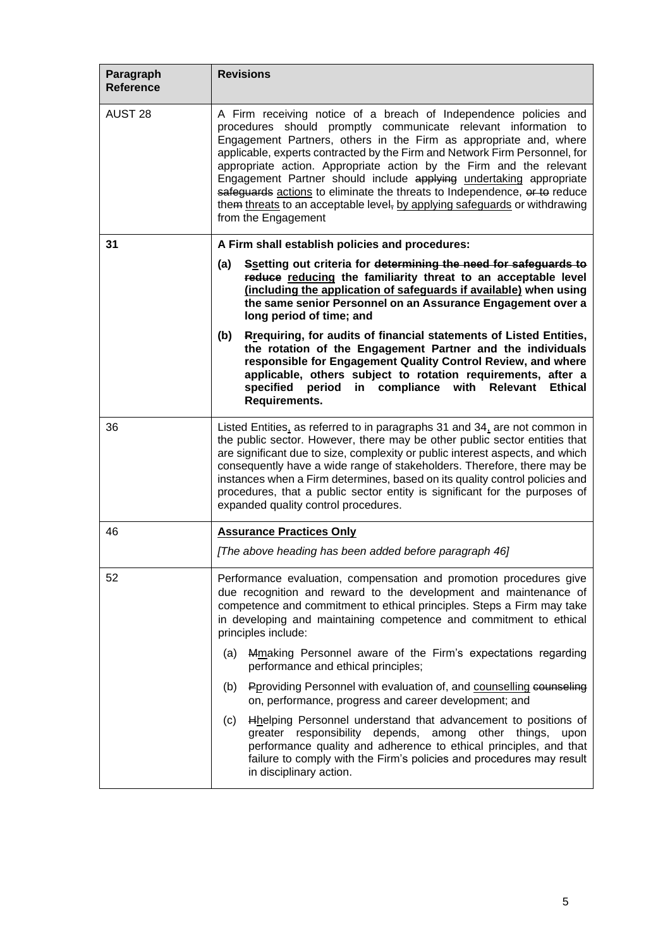| Paragraph<br><b>Reference</b> | <b>Revisions</b>                                                                                                                                                                                                                                                                                                                                                                                                                                                                                                                                                                                                     |
|-------------------------------|----------------------------------------------------------------------------------------------------------------------------------------------------------------------------------------------------------------------------------------------------------------------------------------------------------------------------------------------------------------------------------------------------------------------------------------------------------------------------------------------------------------------------------------------------------------------------------------------------------------------|
| AUST 28                       | A Firm receiving notice of a breach of Independence policies and<br>procedures should promptly communicate relevant information to<br>Engagement Partners, others in the Firm as appropriate and, where<br>applicable, experts contracted by the Firm and Network Firm Personnel, for<br>appropriate action. Appropriate action by the Firm and the relevant<br>Engagement Partner should include applying undertaking appropriate<br>safeguards actions to eliminate the threats to Independence, or to reduce<br>them threats to an acceptable level, by applying safequards or withdrawing<br>from the Engagement |
| 31                            | A Firm shall establish policies and procedures:                                                                                                                                                                                                                                                                                                                                                                                                                                                                                                                                                                      |
|                               | Ssetting out criteria for determining the need for safeguards to<br>(a)<br>reduce reducing the familiarity threat to an acceptable level<br>(including the application of safeguards if available) when using<br>the same senior Personnel on an Assurance Engagement over a<br>long period of time; and                                                                                                                                                                                                                                                                                                             |
|                               | Rrequiring, for audits of financial statements of Listed Entities,<br>(b)<br>the rotation of the Engagement Partner and the individuals<br>responsible for Engagement Quality Control Review, and where<br>applicable, others subject to rotation requirements, after a<br>specified period in compliance with<br>Relevant<br><b>Ethical</b><br>Requirements.                                                                                                                                                                                                                                                        |
| 36                            | Listed Entities, as referred to in paragraphs 31 and 34, are not common in<br>the public sector. However, there may be other public sector entities that<br>are significant due to size, complexity or public interest aspects, and which<br>consequently have a wide range of stakeholders. Therefore, there may be<br>instances when a Firm determines, based on its quality control policies and<br>procedures, that a public sector entity is significant for the purposes of<br>expanded quality control procedures.                                                                                            |
| 46                            | <b>Assurance Practices Only</b>                                                                                                                                                                                                                                                                                                                                                                                                                                                                                                                                                                                      |
|                               | [The above heading has been added before paragraph 46]                                                                                                                                                                                                                                                                                                                                                                                                                                                                                                                                                               |
| 52                            | Performance evaluation, compensation and promotion procedures give<br>due recognition and reward to the development and maintenance of<br>competence and commitment to ethical principles. Steps a Firm may take<br>in developing and maintaining competence and commitment to ethical<br>principles include:                                                                                                                                                                                                                                                                                                        |
|                               | Mmaking Personnel aware of the Firm's expectations regarding<br>(a)<br>performance and ethical principles;                                                                                                                                                                                                                                                                                                                                                                                                                                                                                                           |
|                               | Poroviding Personnel with evaluation of, and counselling counseling<br>(b)<br>on, performance, progress and career development; and                                                                                                                                                                                                                                                                                                                                                                                                                                                                                  |
|                               | Hhelping Personnel understand that advancement to positions of<br>(c)<br>greater responsibility depends, among other things,<br>upon<br>performance quality and adherence to ethical principles, and that<br>failure to comply with the Firm's policies and procedures may result<br>in disciplinary action.                                                                                                                                                                                                                                                                                                         |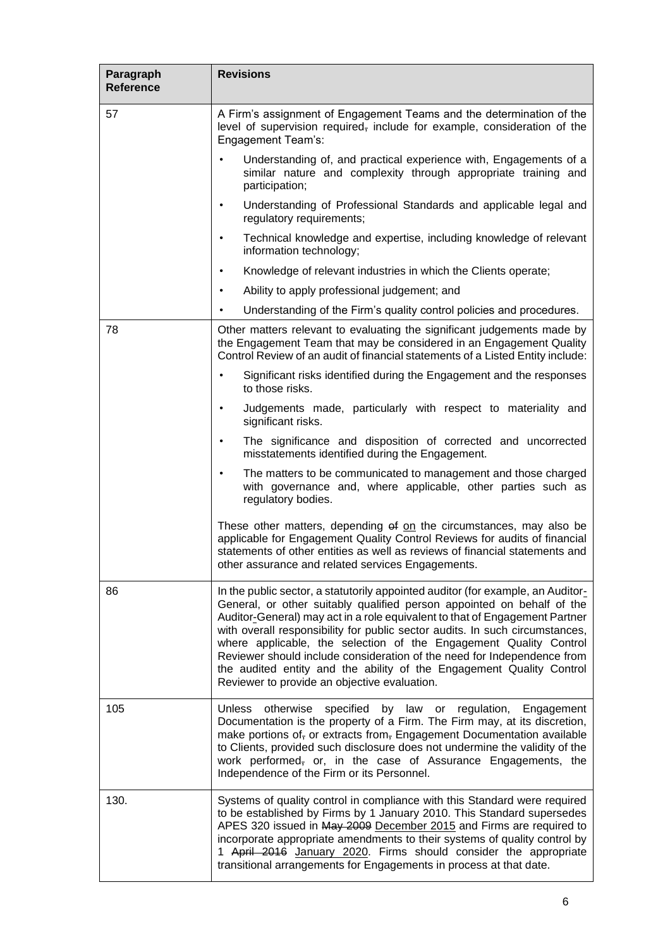| Paragraph<br><b>Reference</b> | <b>Revisions</b>                                                                                                                                                                                                                                                                                                                                                                                                                                                                                                                                                                                 |
|-------------------------------|--------------------------------------------------------------------------------------------------------------------------------------------------------------------------------------------------------------------------------------------------------------------------------------------------------------------------------------------------------------------------------------------------------------------------------------------------------------------------------------------------------------------------------------------------------------------------------------------------|
| 57                            | A Firm's assignment of Engagement Teams and the determination of the<br>level of supervision required, include for example, consideration of the<br>Engagement Team's:                                                                                                                                                                                                                                                                                                                                                                                                                           |
|                               | Understanding of, and practical experience with, Engagements of a<br>$\bullet$<br>similar nature and complexity through appropriate training and<br>participation;                                                                                                                                                                                                                                                                                                                                                                                                                               |
|                               | Understanding of Professional Standards and applicable legal and<br>٠<br>regulatory requirements;                                                                                                                                                                                                                                                                                                                                                                                                                                                                                                |
|                               | Technical knowledge and expertise, including knowledge of relevant<br>$\bullet$<br>information technology;                                                                                                                                                                                                                                                                                                                                                                                                                                                                                       |
|                               | Knowledge of relevant industries in which the Clients operate;<br>$\bullet$                                                                                                                                                                                                                                                                                                                                                                                                                                                                                                                      |
|                               | Ability to apply professional judgement; and<br>$\bullet$                                                                                                                                                                                                                                                                                                                                                                                                                                                                                                                                        |
|                               | Understanding of the Firm's quality control policies and procedures.<br>٠                                                                                                                                                                                                                                                                                                                                                                                                                                                                                                                        |
| 78                            | Other matters relevant to evaluating the significant judgements made by<br>the Engagement Team that may be considered in an Engagement Quality<br>Control Review of an audit of financial statements of a Listed Entity include:                                                                                                                                                                                                                                                                                                                                                                 |
|                               | Significant risks identified during the Engagement and the responses<br>$\bullet$<br>to those risks.                                                                                                                                                                                                                                                                                                                                                                                                                                                                                             |
|                               | Judgements made, particularly with respect to materiality and<br>$\bullet$<br>significant risks.                                                                                                                                                                                                                                                                                                                                                                                                                                                                                                 |
|                               | The significance and disposition of corrected and uncorrected<br>$\bullet$<br>misstatements identified during the Engagement.                                                                                                                                                                                                                                                                                                                                                                                                                                                                    |
|                               | The matters to be communicated to management and those charged<br>$\bullet$<br>with governance and, where applicable, other parties such as<br>regulatory bodies.                                                                                                                                                                                                                                                                                                                                                                                                                                |
|                               | These other matters, depending of on the circumstances, may also be<br>applicable for Engagement Quality Control Reviews for audits of financial<br>statements of other entities as well as reviews of financial statements and<br>other assurance and related services Engagements.                                                                                                                                                                                                                                                                                                             |
| 86                            | In the public sector, a statutorily appointed auditor (for example, an Auditor-<br>General, or other suitably qualified person appointed on behalf of the<br>Auditor-General) may act in a role equivalent to that of Engagement Partner<br>with overall responsibility for public sector audits. In such circumstances,<br>where applicable, the selection of the Engagement Quality Control<br>Reviewer should include consideration of the need for Independence from<br>the audited entity and the ability of the Engagement Quality Control<br>Reviewer to provide an objective evaluation. |
| 105                           | otherwise<br>specified<br>by law or<br><b>Unless</b><br>regulation, Engagement<br>Documentation is the property of a Firm. The Firm may, at its discretion,<br>make portions of, or extracts from, Engagement Documentation available<br>to Clients, provided such disclosure does not undermine the validity of the<br>work performed, or, in the case of Assurance Engagements, the<br>Independence of the Firm or its Personnel.                                                                                                                                                              |
| 130.                          | Systems of quality control in compliance with this Standard were required<br>to be established by Firms by 1 January 2010. This Standard supersedes<br>APES 320 issued in May 2009 December 2015 and Firms are required to<br>incorporate appropriate amendments to their systems of quality control by<br>1 April 2016 January 2020. Firms should consider the appropriate<br>transitional arrangements for Engagements in process at that date.                                                                                                                                                |